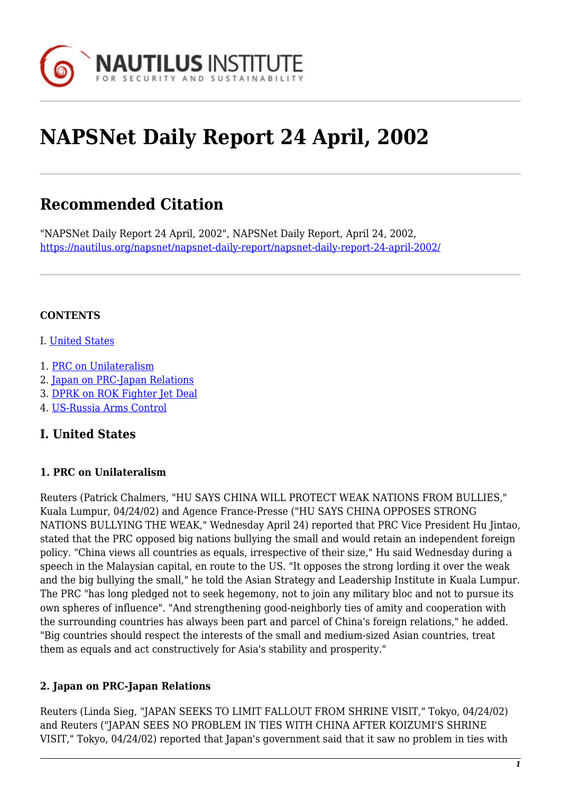

# **NAPSNet Daily Report 24 April, 2002**

# **Recommended Citation**

"NAPSNet Daily Report 24 April, 2002", NAPSNet Daily Report, April 24, 2002, <https://nautilus.org/napsnet/napsnet-daily-report/napsnet-daily-report-24-april-2002/>

#### **CONTENTS**

- I. [United States](#page-0-0)
- 1. [PRC on Unilateralism](#page-0-1)
- 2. [Japan on PRC-Japan Relations](#page-0-2)
- 3. [DPRK on ROK Fighter Jet Deal](#page-1-0)
- 4. [US-Russia Arms Control](#page-1-1)

## <span id="page-0-0"></span>**I. United States**

#### <span id="page-0-1"></span>**1. PRC on Unilateralism**

Reuters (Patrick Chalmers, "HU SAYS CHINA WILL PROTECT WEAK NATIONS FROM BULLIES," Kuala Lumpur, 04/24/02) and Agence France-Presse ("HU SAYS CHINA OPPOSES STRONG NATIONS BULLYING THE WEAK," Wednesday April 24) reported that PRC Vice President Hu Jintao, stated that the PRC opposed big nations bullying the small and would retain an independent foreign policy. "China views all countries as equals, irrespective of their size," Hu said Wednesday during a speech in the Malaysian capital, en route to the US. "It opposes the strong lording it over the weak and the big bullying the small," he told the Asian Strategy and Leadership Institute in Kuala Lumpur. The PRC "has long pledged not to seek hegemony, not to join any military bloc and not to pursue its own spheres of influence". "And strengthening good-neighborly ties of amity and cooperation with the surrounding countries has always been part and parcel of China's foreign relations," he added. "Big countries should respect the interests of the small and medium-sized Asian countries, treat them as equals and act constructively for Asia's stability and prosperity."

#### <span id="page-0-2"></span>**2. Japan on PRC-Japan Relations**

Reuters (Linda Sieg, "JAPAN SEEKS TO LIMIT FALLOUT FROM SHRINE VISIT," Tokyo, 04/24/02) and Reuters ("JAPAN SEES NO PROBLEM IN TIES WITH CHINA AFTER KOIZUMI'S SHRINE VISIT," Tokyo, 04/24/02) reported that Japan's government said that it saw no problem in ties with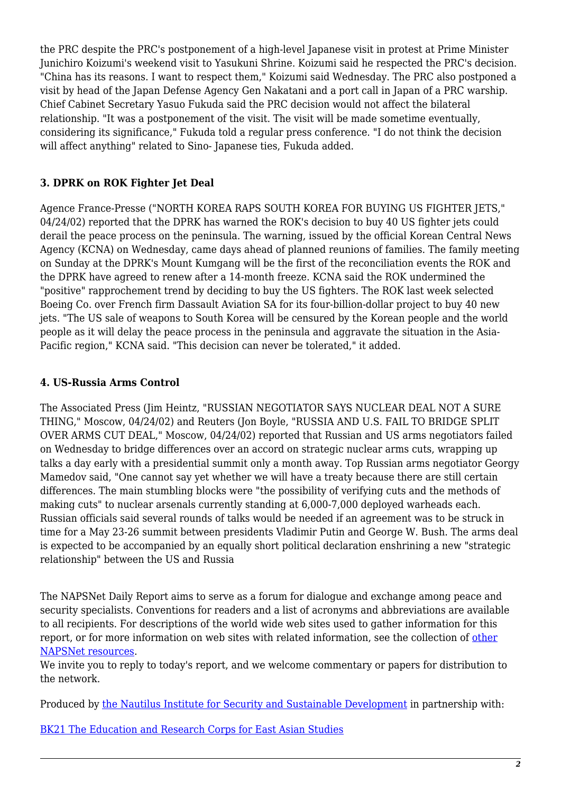the PRC despite the PRC's postponement of a high-level Japanese visit in protest at Prime Minister Junichiro Koizumi's weekend visit to Yasukuni Shrine. Koizumi said he respected the PRC's decision. "China has its reasons. I want to respect them," Koizumi said Wednesday. The PRC also postponed a visit by head of the Japan Defense Agency Gen Nakatani and a port call in Japan of a PRC warship. Chief Cabinet Secretary Yasuo Fukuda said the PRC decision would not affect the bilateral relationship. "It was a postponement of the visit. The visit will be made sometime eventually, considering its significance," Fukuda told a regular press conference. "I do not think the decision will affect anything" related to Sino- Japanese ties, Fukuda added.

## <span id="page-1-0"></span>**3. DPRK on ROK Fighter Jet Deal**

Agence France-Presse ("NORTH KOREA RAPS SOUTH KOREA FOR BUYING US FIGHTER JETS," 04/24/02) reported that the DPRK has warned the ROK's decision to buy 40 US fighter iets could derail the peace process on the peninsula. The warning, issued by the official Korean Central News Agency (KCNA) on Wednesday, came days ahead of planned reunions of families. The family meeting on Sunday at the DPRK's Mount Kumgang will be the first of the reconciliation events the ROK and the DPRK have agreed to renew after a 14-month freeze. KCNA said the ROK undermined the "positive" rapprochement trend by deciding to buy the US fighters. The ROK last week selected Boeing Co. over French firm Dassault Aviation SA for its four-billion-dollar project to buy 40 new jets. "The US sale of weapons to South Korea will be censured by the Korean people and the world people as it will delay the peace process in the peninsula and aggravate the situation in the Asia-Pacific region," KCNA said. "This decision can never be tolerated," it added.

#### <span id="page-1-1"></span>**4. US-Russia Arms Control**

The Associated Press (Jim Heintz, "RUSSIAN NEGOTIATOR SAYS NUCLEAR DEAL NOT A SURE THING," Moscow, 04/24/02) and Reuters (Jon Boyle, "RUSSIA AND U.S. FAIL TO BRIDGE SPLIT OVER ARMS CUT DEAL," Moscow, 04/24/02) reported that Russian and US arms negotiators failed on Wednesday to bridge differences over an accord on strategic nuclear arms cuts, wrapping up talks a day early with a presidential summit only a month away. Top Russian arms negotiator Georgy Mamedov said, "One cannot say yet whether we will have a treaty because there are still certain differences. The main stumbling blocks were "the possibility of verifying cuts and the methods of making cuts" to nuclear arsenals currently standing at 6,000-7,000 deployed warheads each. Russian officials said several rounds of talks would be needed if an agreement was to be struck in time for a May 23-26 summit between presidents Vladimir Putin and George W. Bush. The arms deal is expected to be accompanied by an equally short political declaration enshrining a new "strategic relationship" between the US and Russia

The NAPSNet Daily Report aims to serve as a forum for dialogue and exchange among peace and security specialists. Conventions for readers and a list of acronyms and abbreviations are available to all recipients. For descriptions of the world wide web sites used to gather information for this report, or for more information on web sites with related information, see the collection of [other](http://nautilus.org/kiosk/weblinks.html) [NAPSNet resources.](http://nautilus.org/kiosk/weblinks.html)

We invite you to reply to today's report, and we welcome commentary or papers for distribution to the network.

Produced by [the Nautilus Institute for Security and Sustainable Development](http://nautilus.org/admin/about.html) in partnership with:

[BK21 The Education and Research Corps for East Asian Studies](http://web.korea.ac.kr/~politics/index.html)